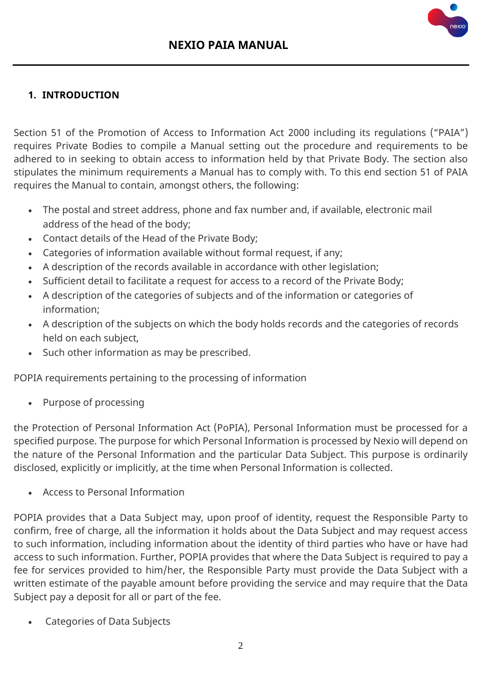

## **1. INTRODUCTION**

Section 51 of the Promotion of Access to Information Act 2000 including its regulations ("PAIA") requires Private Bodies to compile a Manual setting out the procedure and requirements to be adhered to in seeking to obtain access to information held by that Private Body. The section also stipulates the minimum requirements a Manual has to comply with. To this end section 51 of PAIA requires the Manual to contain, amongst others, the following:

- The postal and street address, phone and fax number and, if available, electronic mail address of the head of the body;
- Contact details of the Head of the Private Body;
- Categories of information available without formal request, if any;
- A description of the records available in accordance with other legislation;
- Sufficient detail to facilitate a request for access to a record of the Private Body;
- A description of the categories of subjects and of the information or categories of information;
- A description of the subjects on which the body holds records and the categories of records held on each subject,
- Such other information as may be prescribed.

POPIA requirements pertaining to the processing of information

• Purpose of processing

the Protection of Personal Information Act (PoPIA), Personal Information must be processed for a specified purpose. The purpose for which Personal Information is processed by Nexio will depend on the nature of the Personal Information and the particular Data Subject. This purpose is ordinarily disclosed, explicitly or implicitly, at the time when Personal Information is collected.

• Access to Personal Information

POPIA provides that a Data Subject may, upon proof of identity, request the Responsible Party to confirm, free of charge, all the information it holds about the Data Subject and may request access to such information, including information about the identity of third parties who have or have had access to such information. Further, POPIA provides that where the Data Subject is required to pay a fee for services provided to him/her, the Responsible Party must provide the Data Subject with a written estimate of the payable amount before providing the service and may require that the Data Subject pay a deposit for all or part of the fee.

• Categories of Data Subjects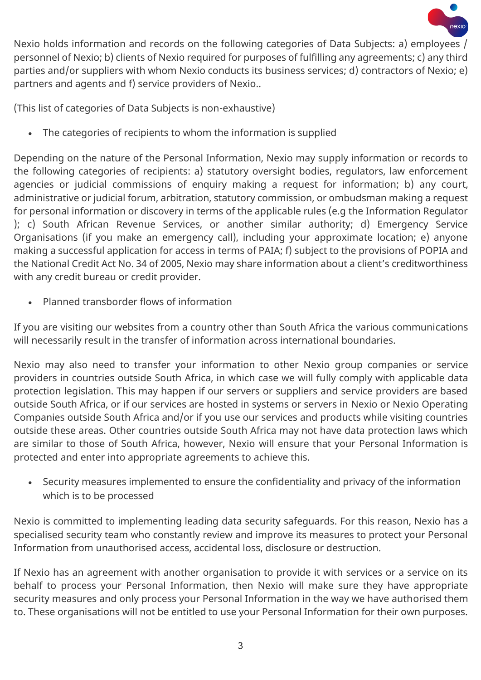

Nexio holds information and records on the following categories of Data Subjects: a) employees / personnel of Nexio; b) clients of Nexio required for purposes of fulfilling any agreements; c) any third parties and/or suppliers with whom Nexio conducts its business services; d) contractors of Nexio; e) partners and agents and f) service providers of Nexio..

(This list of categories of Data Subjects is non-exhaustive)

The categories of recipients to whom the information is supplied

Depending on the nature of the Personal Information, Nexio may supply information or records to the following categories of recipients: a) statutory oversight bodies, regulators, law enforcement agencies or judicial commissions of enquiry making a request for information; b) any court, administrative or judicial forum, arbitration, statutory commission, or ombudsman making a request for personal information or discovery in terms of the applicable rules (e.g the Information Regulator ); c) South African Revenue Services, or another similar authority; d) Emergency Service Organisations (if you make an emergency call), including your approximate location; e) anyone making a successful application for access in terms of PAIA; f) subject to the provisions of POPIA and the National Credit Act No. 34 of 2005, Nexio may share information about a client's creditworthiness with any credit bureau or credit provider.

• Planned transborder flows of information

If you are visiting our websites from a country other than South Africa the various communications will necessarily result in the transfer of information across international boundaries.

Nexio may also need to transfer your information to other Nexio group companies or service providers in countries outside South Africa, in which case we will fully comply with applicable data protection legislation. This may happen if our servers or suppliers and service providers are based outside South Africa, or if our services are hosted in systems or servers in Nexio or Nexio Operating Companies outside South Africa and/or if you use our services and products while visiting countries outside these areas. Other countries outside South Africa may not have data protection laws which are similar to those of South Africa, however, Nexio will ensure that your Personal Information is protected and enter into appropriate agreements to achieve this.

• Security measures implemented to ensure the confidentiality and privacy of the information which is to be processed

Nexio is committed to implementing leading data security safeguards. For this reason, Nexio has a specialised security team who constantly review and improve its measures to protect your Personal Information from unauthorised access, accidental loss, disclosure or destruction.

If Nexio has an agreement with another organisation to provide it with services or a service on its behalf to process your Personal Information, then Nexio will make sure they have appropriate security measures and only process your Personal Information in the way we have authorised them to. These organisations will not be entitled to use your Personal Information for their own purposes.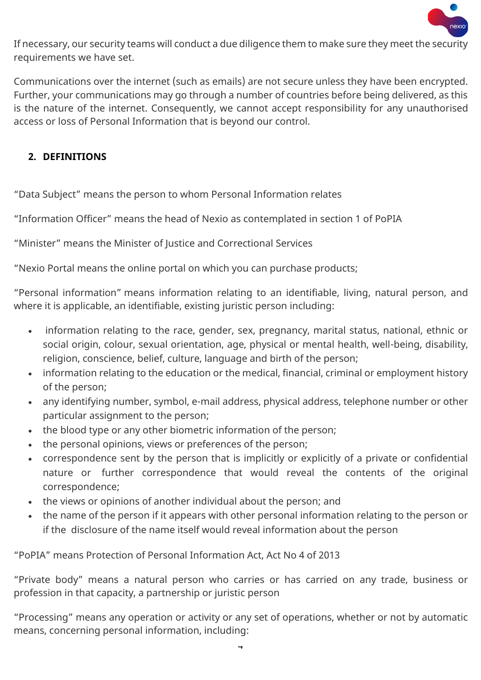

If necessary, our security teams will conduct a due diligence them to make sure they meet the security requirements we have set.

Communications over the internet (such as emails) are not secure unless they have been encrypted. Further, your communications may go through a number of countries before being delivered, as this is the nature of the internet. Consequently, we cannot accept responsibility for any unauthorised access or loss of Personal Information that is beyond our control.

## **2. DEFINITIONS**

"Data Subject" means the person to whom Personal Information relates

"Information Officer" means the head of Nexio as contemplated in section 1 of PoPIA

"Minister" means the Minister of Justice and Correctional Services

"Nexio Portal means the online portal on which you can purchase products;

"Personal information" means information relating to an identifiable, living, natural person, and where it is applicable, an identifiable, existing juristic person including:

- information relating to the race, gender, sex, pregnancy, marital status, national, ethnic or social origin, colour, sexual orientation, age, physical or mental health, well-being, disability, religion, conscience, belief, culture, language and birth of the person;
- information relating to the education or the medical, financial, criminal or employment history of the person;
- any identifying number, symbol, e-mail address, physical address, telephone number or other particular assignment to the person;
- the blood type or any other biometric information of the person;
- the personal opinions, views or preferences of the person;
- correspondence sent by the person that is implicitly or explicitly of a private or confidential nature or further correspondence that would reveal the contents of the original correspondence;
- the views or opinions of another individual about the person; and
- the name of the person if it appears with other personal information relating to the person or if the disclosure of the name itself would reveal information about the person

"PoPIA" means Protection of Personal Information Act, Act No 4 of 2013

"Private body" means a natural person who carries or has carried on any trade, business or profession in that capacity, a partnership or juristic person

"Processing" means any operation or activity or any set of operations, whether or not by automatic means, concerning personal information, including: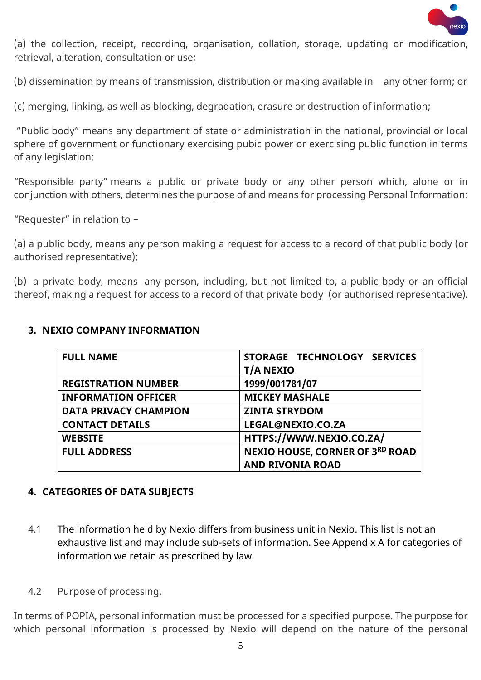

(a) the collection, receipt, recording, organisation, collation, storage, updating or modification, retrieval, alteration, consultation or use;

(b) dissemination by means of transmission, distribution or making available in any other form; or

(c) merging, linking, as well as blocking, degradation, erasure or destruction of information;

"Public body" means any department of state or administration in the national, provincial or local sphere of government or functionary exercising pubic power or exercising public function in terms of any legislation;

"Responsible party" means a public or private body or any other person which, alone or in conjunction with others, determines the purpose of and means for processing Personal Information;

"Requester" in relation to –

(a) a public body, means any person making a request for access to a record of that public body (or authorised representative);

(b) a private body, means any person, including, but not limited to, a public body or an official thereof, making a request for access to a record of that private body (or authorised representative).

| <b>FULL NAME</b>             | STORAGE TECHNOLOGY SERVICES            |
|------------------------------|----------------------------------------|
|                              | <b>T/A NEXIO</b>                       |
| <b>REGISTRATION NUMBER</b>   | 1999/001781/07                         |
| <b>INFORMATION OFFICER</b>   | <b>MICKEY MASHALE</b>                  |
| <b>DATA PRIVACY CHAMPION</b> | <b>ZINTA STRYDOM</b>                   |
| <b>CONTACT DETAILS</b>       | LEGAL@NEXIO.CO.ZA                      |
| <b>WEBSITE</b>               | HTTPS://WWW.NEXIO.CO.ZA/               |
| <b>FULL ADDRESS</b>          | <b>NEXIO HOUSE, CORNER OF 3RD ROAD</b> |
|                              | <b>AND RIVONIA ROAD</b>                |

## **3. NEXIO COMPANY INFORMATION**

## **4. CATEGORIES OF DATA SUBJECTS**

- 4.1 The information held by Nexio differs from business unit in Nexio. This list is not an exhaustive list and may include sub-sets of information. See Appendix A for categories of information we retain as prescribed by law.
- 4.2 Purpose of processing.

In terms of POPIA, personal information must be processed for a specified purpose. The purpose for which personal information is processed by Nexio will depend on the nature of the personal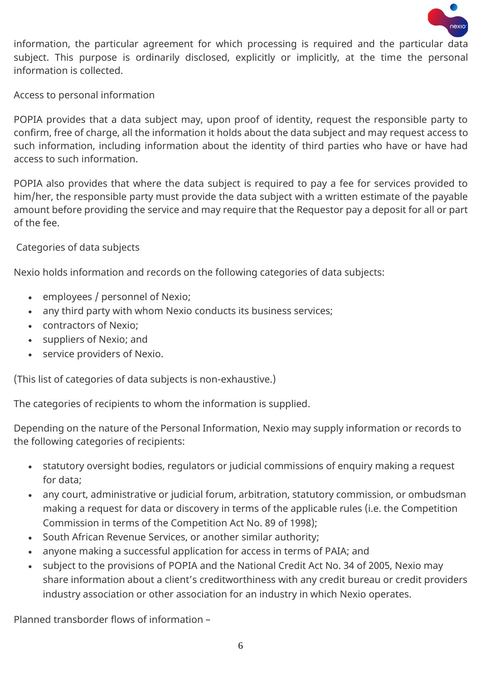

information, the particular agreement for which processing is required and the particular data subject. This purpose is ordinarily disclosed, explicitly or implicitly, at the time the personal information is collected.

Access to personal information

POPIA provides that a data subject may, upon proof of identity, request the responsible party to confirm, free of charge, all the information it holds about the data subject and may request access to such information, including information about the identity of third parties who have or have had access to such information.

POPIA also provides that where the data subject is required to pay a fee for services provided to him/her, the responsible party must provide the data subject with a written estimate of the payable amount before providing the service and may require that the Requestor pay a deposit for all or part of the fee.

Categories of data subjects

Nexio holds information and records on the following categories of data subjects:

- employees / personnel of Nexio;
- any third party with whom Nexio conducts its business services;
- contractors of Nexio;
- suppliers of Nexio; and
- service providers of Nexio.

(This list of categories of data subjects is non-exhaustive.)

The categories of recipients to whom the information is supplied.

Depending on the nature of the Personal Information, Nexio may supply information or records to the following categories of recipients:

- statutory oversight bodies, regulators or judicial commissions of enquiry making a request for data;
- any court, administrative or judicial forum, arbitration, statutory commission, or ombudsman making a request for data or discovery in terms of the applicable rules (i.e. the Competition Commission in terms of the Competition Act No. 89 of 1998);
- South African Revenue Services, or another similar authority;
- anyone making a successful application for access in terms of PAIA; and
- subject to the provisions of POPIA and the National Credit Act No. 34 of 2005, Nexio may share information about a client's creditworthiness with any credit bureau or credit providers industry association or other association for an industry in which Nexio operates.

Planned transborder flows of information –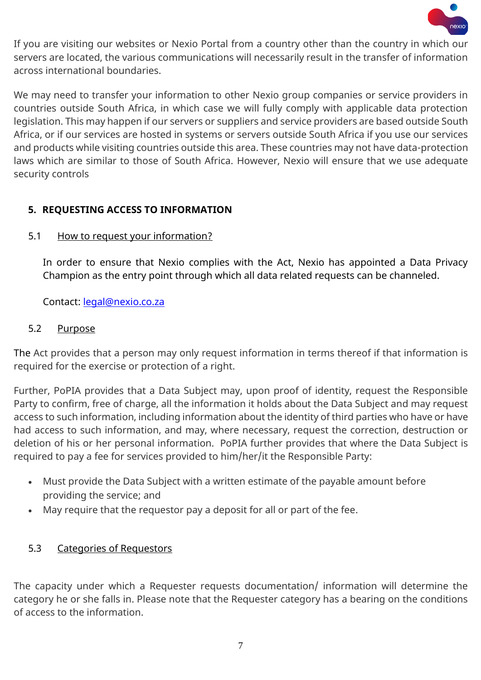

If you are visiting our websites or Nexio Portal from a country other than the country in which our servers are located, the various communications will necessarily result in the transfer of information across international boundaries.

We may need to transfer your information to other Nexio group companies or service providers in countries outside South Africa, in which case we will fully comply with applicable data protection legislation. This may happen if our servers or suppliers and service providers are based outside South Africa, or if our services are hosted in systems or servers outside South Africa if you use our services and products while visiting countries outside this area. These countries may not have data-protection laws which are similar to those of South Africa. However, Nexio will ensure that we use adequate security controls

## **5. REQUESTING ACCESS TO INFORMATION**

## 5.1 How to request your information?

In order to ensure that Nexio complies with the Act, Nexio has appointed a Data Privacy Champion as the entry point through which all data related requests can be channeled.

Contact: [legal@nexio.co.za](mailto:legal@nexio.co.za)

#### 5.2 Purpose

The Act provides that a person may only request information in terms thereof if that information is required for the exercise or protection of a right.

Further, PoPIA provides that a Data Subject may, upon proof of identity, request the Responsible Party to confirm, free of charge, all the information it holds about the Data Subject and may request access to such information, including information about the identity of third parties who have or have had access to such information, and may, where necessary, request the correction, destruction or deletion of his or her personal information. PoPIA further provides that where the Data Subject is required to pay a fee for services provided to him/her/it the Responsible Party:

- Must provide the Data Subject with a written estimate of the payable amount before providing the service; and
- May require that the requestor pay a deposit for all or part of the fee.

## 5.3 Categories of Requestors

The capacity under which a Requester requests documentation/ information will determine the category he or she falls in. Please note that the Requester category has a bearing on the conditions of access to the information.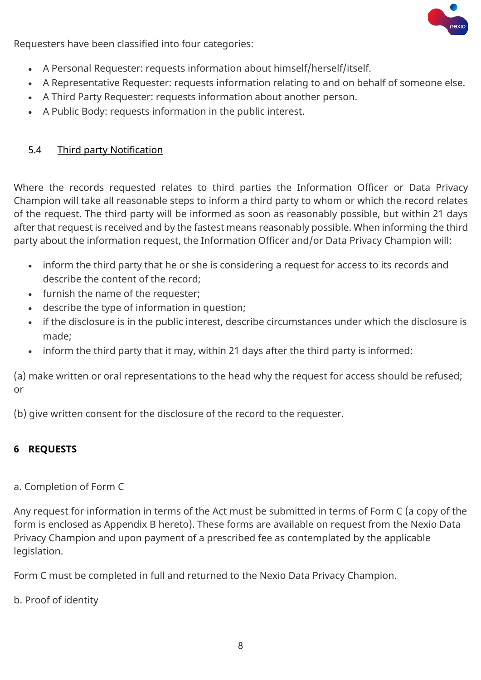

Requesters have been classified into four categories:

- A Personal Requester: requests information about himself/herself/itself.
- A Representative Requester: requests information relating to and on behalf of someone else.
- A Third Party Requester: requests information about another person.
- A Public Body: requests information in the public interest.

## 5.4 Third party Notification

Where the records requested relates to third parties the Information Officer or Data Privacy Champion will take all reasonable steps to inform a third party to whom or which the record relates of the request. The third party will be informed as soon as reasonably possible, but within 21 days after that request is received and by the fastest means reasonably possible. When informing the third party about the information request, the Information Officer and/or Data Privacy Champion will:

- inform the third party that he or she is considering a request for access to its records and describe the content of the record;
- furnish the name of the requester;
- describe the type of information in question;
- if the disclosure is in the public interest, describe circumstances under which the disclosure is made;
- inform the third party that it may, within 21 days after the third party is informed:

(a) make written or oral representations to the head why the request for access should be refused; or

(b) give written consent for the disclosure of the record to the requester.

## **6 REQUESTS**

a. Completion of Form C

Any request for information in terms of the Act must be submitted in terms of Form C (a copy of the form is enclosed as Appendix B hereto). These forms are available on request from the Nexio Data Privacy Champion and upon payment of a prescribed fee as contemplated by the applicable legislation.

Form C must be completed in full and returned to the Nexio Data Privacy Champion.

b. Proof of identity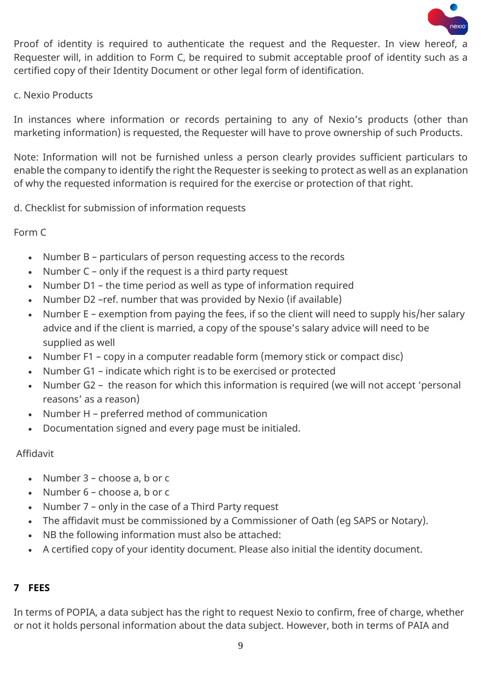

Proof of identity is required to authenticate the request and the Requester. In view hereof, a Requester will, in addition to Form C, be required to submit acceptable proof of identity such as a certified copy of their Identity Document or other legal form of identification.

## c. Nexio Products

In instances where information or records pertaining to any of Nexio's products (other than marketing information) is requested, the Requester will have to prove ownership of such Products.

Note: Information will not be furnished unless a person clearly provides sufficient particulars to enable the company to identify the right the Requester is seeking to protect as well as an explanation of why the requested information is required for the exercise or protection of that right.

d. Checklist for submission of information requests

## Form C

- Number B particulars of person requesting access to the records
- Number C only if the request is a third party request
- Number D1 the time period as well as type of information required
- Number D2 –ref. number that was provided by Nexio (if available)
- Number E exemption from paying the fees, if so the client will need to supply his/her salary advice and if the client is married, a copy of the spouse's salary advice will need to be supplied as well
- Number F1 copy in a computer readable form (memory stick or compact disc)
- Number G1 indicate which right is to be exercised or protected
- Number G2 the reason for which this information is required (we will not accept 'personal reasons' as a reason)
- Number H preferred method of communication
- Documentation signed and every page must be initialed.

## Affidavit

- Number 3 choose a, b or c
- Number 6 choose a, b or c
- Number 7 only in the case of a Third Party request
- The affidavit must be commissioned by a Commissioner of Oath (eg SAPS or Notary).
- NB the following information must also be attached:
- A certified copy of your identity document. Please also initial the identity document.

## **7 FEES**

In terms of POPIA, a data subject has the right to request Nexio to confirm, free of charge, whether or not it holds personal information about the data subject. However, both in terms of PAIA and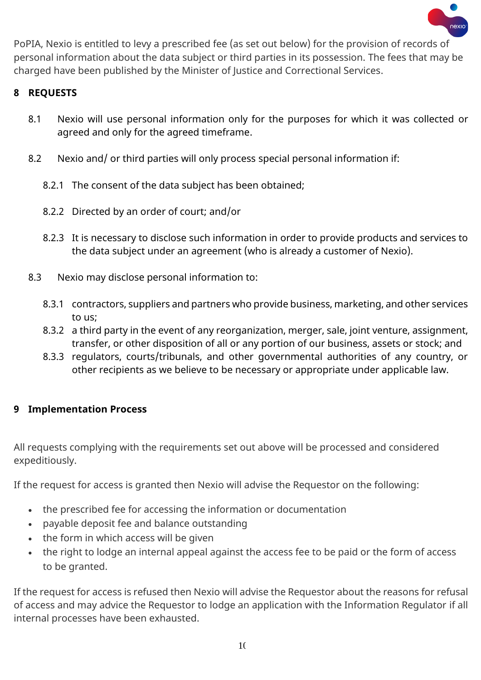

PoPIA, Nexio is entitled to levy a prescribed fee (as set out below) for the provision of records of personal information about the data subject or third parties in its possession. The fees that may be charged have been published by the Minister of Justice and Correctional Services.

## **8 REQUESTS**

- 8.1 Nexio will use personal information only for the purposes for which it was collected or agreed and only for the agreed timeframe.
- 8.2 Nexio and/ or third parties will only process special personal information if:
	- 8.2.1 The consent of the data subject has been obtained;
	- 8.2.2 Directed by an order of court; and/or
	- 8.2.3 It is necessary to disclose such information in order to provide products and services to the data subject under an agreement (who is already a customer of Nexio).
- 8.3 Nexio may disclose personal information to:
	- 8.3.1 contractors, suppliers and partners who provide business, marketing, and other services to us;
	- 8.3.2 a third party in the event of any reorganization, merger, sale, joint venture, assignment, transfer, or other disposition of all or any portion of our business, assets or stock; and
	- 8.3.3 regulators, courts/tribunals, and other governmental authorities of any country, or other recipients as we believe to be necessary or appropriate under applicable law.

## **9 Implementation Process**

All requests complying with the requirements set out above will be processed and considered expeditiously.

If the request for access is granted then Nexio will advise the Requestor on the following:

- the prescribed fee for accessing the information or documentation
- payable deposit fee and balance outstanding
- the form in which access will be given
- the right to lodge an internal appeal against the access fee to be paid or the form of access to be granted.

If the request for access is refused then Nexio will advise the Requestor about the reasons for refusal of access and may advice the Requestor to lodge an application with the Information Regulator if all internal processes have been exhausted.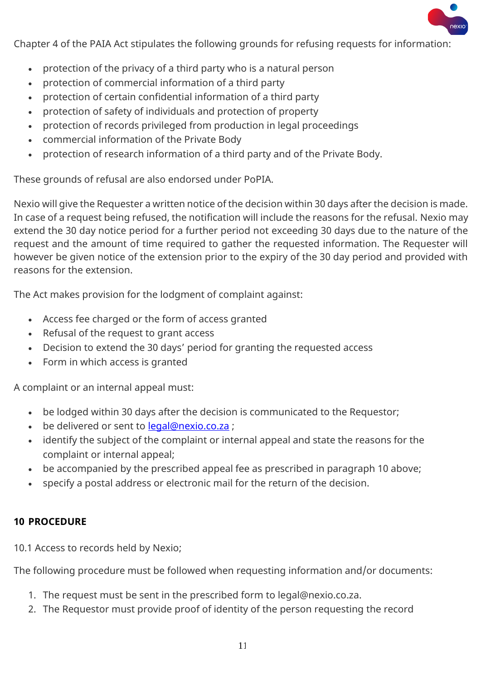

Chapter 4 of the PAIA Act stipulates the following grounds for refusing requests for information:

- protection of the privacy of a third party who is a natural person
- protection of commercial information of a third party
- protection of certain confidential information of a third party
- protection of safety of individuals and protection of property
- protection of records privileged from production in legal proceedings
- commercial information of the Private Body
- protection of research information of a third party and of the Private Body.

These grounds of refusal are also endorsed under PoPIA.

Nexio will give the Requester a written notice of the decision within 30 days after the decision is made. In case of a request being refused, the notification will include the reasons for the refusal. Nexio may extend the 30 day notice period for a further period not exceeding 30 days due to the nature of the request and the amount of time required to gather the requested information. The Requester will however be given notice of the extension prior to the expiry of the 30 day period and provided with reasons for the extension.

The Act makes provision for the lodgment of complaint against:

- Access fee charged or the form of access granted
- Refusal of the request to grant access
- Decision to extend the 30 days' period for granting the requested access
- Form in which access is granted

A complaint or an internal appeal must:

- be lodged within 30 days after the decision is communicated to the Requestor;
- be delivered or sent to **[legal@nexio.co.za](mailto:legal@nexio.co.za)** ;
- identify the subject of the complaint or internal appeal and state the reasons for the complaint or internal appeal;
- be accompanied by the prescribed appeal fee as prescribed in paragraph 10 above;
- specify a postal address or electronic mail for the return of the decision.

## **10 PROCEDURE**

10.1 Access to records held by Nexio;

The following procedure must be followed when requesting information and/or documents:

- 1. The request must be sent in the prescribed form to legal@nexio.co.za.
- 2. The Requestor must provide proof of identity of the person requesting the record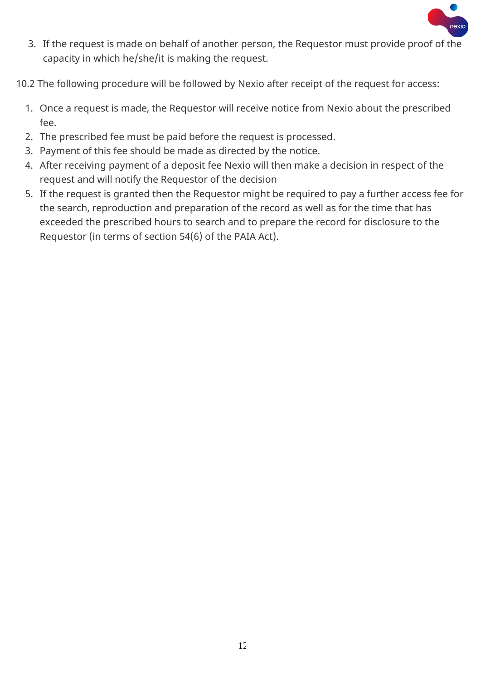

- 3. If the request is made on behalf of another person, the Requestor must provide proof of the capacity in which he/she/it is making the request.
- 10.2 The following procedure will be followed by Nexio after receipt of the request for access:
	- 1. Once a request is made, the Requestor will receive notice from Nexio about the prescribed fee.
	- 2. The prescribed fee must be paid before the request is processed.
	- 3. Payment of this fee should be made as directed by the notice.
	- 4. After receiving payment of a deposit fee Nexio will then make a decision in respect of the request and will notify the Requestor of the decision
	- 5. If the request is granted then the Requestor might be required to pay a further access fee for the search, reproduction and preparation of the record as well as for the time that has exceeded the prescribed hours to search and to prepare the record for disclosure to the Requestor (in terms of section 54(6) of the PAIA Act).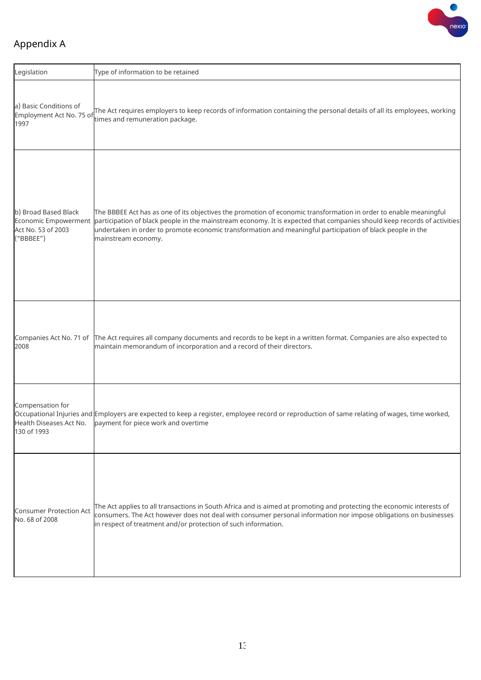

## Appendix A

| Legislation                                                | Type of information to be retained                                                                                                                                                                                                                                                                           |
|------------------------------------------------------------|--------------------------------------------------------------------------------------------------------------------------------------------------------------------------------------------------------------------------------------------------------------------------------------------------------------|
| a) Basic Conditions of<br>Employment Act No. 75 of<br>1997 | The Act requires employers to keep records of information containing the personal details of all its employees, working<br>times and remuneration package.                                                                                                                                                   |
| b) Broad Based Black                                       | The BBBEE Act has as one of its objectives the promotion of economic transformation in order to enable meaningful                                                                                                                                                                                            |
| <b>Economic Empowerment</b>                                | participation of black people in the mainstream economy. It is expected that companies should keep records of activities                                                                                                                                                                                     |
| Act No. 53 of 2003                                         | undertaken in order to promote economic transformation and meaningful participation of black people in the                                                                                                                                                                                                   |
| ("BBBEE")                                                  | mainstream economy.                                                                                                                                                                                                                                                                                          |
| Companies Act No. 71 of                                    | The Act requires all company documents and records to be kept in a written format. Companies are also expected to                                                                                                                                                                                            |
| 2008                                                       | maintain memorandum of incorporation and a record of their directors.                                                                                                                                                                                                                                        |
| Compensation for                                           | Occupational Injuries and Employers are expected to keep a register, employee record or reproduction of same relating of wages, time worked,                                                                                                                                                                 |
| 130 of 1993                                                | Health Diseases Act No. payment for piece work and overtime                                                                                                                                                                                                                                                  |
| <b>Consumer Protection Act</b><br>No. 68 of 2008           | The Act applies to all transactions in South Africa and is aimed at promoting and protecting the economic interests of<br>consumers. The Act however does not deal with consumer personal information nor impose obligations on businesses<br>in respect of treatment and/or protection of such information. |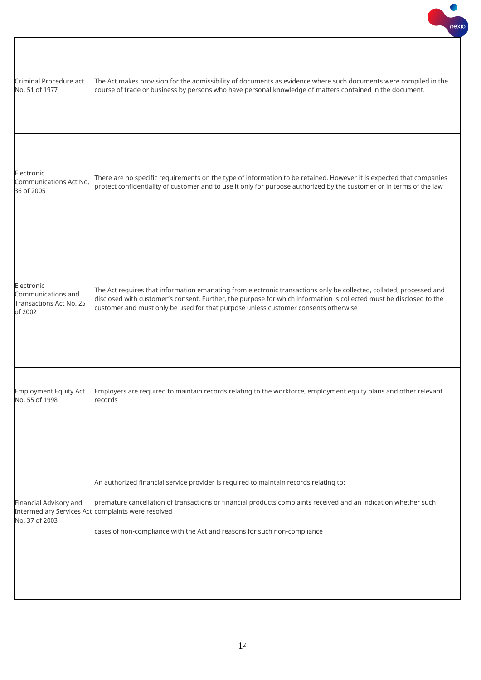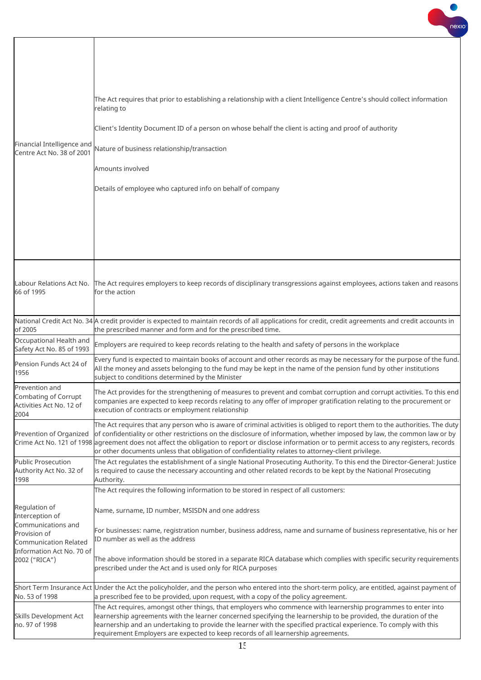|                                                                            | nexk                                                                                                                                                                                                                                                                                                                                                                                                                                                                                                               |
|----------------------------------------------------------------------------|--------------------------------------------------------------------------------------------------------------------------------------------------------------------------------------------------------------------------------------------------------------------------------------------------------------------------------------------------------------------------------------------------------------------------------------------------------------------------------------------------------------------|
|                                                                            |                                                                                                                                                                                                                                                                                                                                                                                                                                                                                                                    |
|                                                                            |                                                                                                                                                                                                                                                                                                                                                                                                                                                                                                                    |
|                                                                            |                                                                                                                                                                                                                                                                                                                                                                                                                                                                                                                    |
|                                                                            | The Act requires that prior to establishing a relationship with a client Intelligence Centre's should collect information<br>relating to                                                                                                                                                                                                                                                                                                                                                                           |
|                                                                            | Client's Identity Document ID of a person on whose behalf the client is acting and proof of authority                                                                                                                                                                                                                                                                                                                                                                                                              |
| Financial Intelligence and<br>Centre Act No. 38 of 2001                    | Nature of business relationship/transaction                                                                                                                                                                                                                                                                                                                                                                                                                                                                        |
|                                                                            | Amounts involved                                                                                                                                                                                                                                                                                                                                                                                                                                                                                                   |
|                                                                            |                                                                                                                                                                                                                                                                                                                                                                                                                                                                                                                    |
|                                                                            | Details of employee who captured info on behalf of company                                                                                                                                                                                                                                                                                                                                                                                                                                                         |
|                                                                            |                                                                                                                                                                                                                                                                                                                                                                                                                                                                                                                    |
|                                                                            |                                                                                                                                                                                                                                                                                                                                                                                                                                                                                                                    |
|                                                                            |                                                                                                                                                                                                                                                                                                                                                                                                                                                                                                                    |
|                                                                            |                                                                                                                                                                                                                                                                                                                                                                                                                                                                                                                    |
| Labour Relations Act No.<br>66 of 1995                                     | The Act requires employers to keep records of disciplinary transgressions against employees, actions taken and reasons<br>for the action                                                                                                                                                                                                                                                                                                                                                                           |
|                                                                            |                                                                                                                                                                                                                                                                                                                                                                                                                                                                                                                    |
| of 2005                                                                    | National Credit Act No. 34 A credit provider is expected to maintain records of all applications for credit, credit agreements and credit accounts in<br>the prescribed manner and form and for the prescribed time.                                                                                                                                                                                                                                                                                               |
| Occupational Health and<br>Safety Act No. 85 of 1993                       | Employers are required to keep records relating to the health and safety of persons in the workplace                                                                                                                                                                                                                                                                                                                                                                                                               |
| Pension Funds Act 24 of<br>1956                                            | Every fund is expected to maintain books of account and other records as may be necessary for the purpose of the fund.<br>All the money and assets belonging to the fund may be kept in the name of the pension fund by other institutions<br>subject to conditions determined by the Minister                                                                                                                                                                                                                     |
| Prevention and<br>Combating of Corrupt<br>Activities Act No. 12 of<br>2004 | The Act provides for the strengthening of measures to prevent and combat corruption and corrupt activities. To this end<br>companies are expected to keep records relating to any offer of improper gratification relating to the procurement or<br>execution of contracts or employment relationship                                                                                                                                                                                                              |
| Prevention of Organized                                                    | The Act requires that any person who is aware of criminal activities is obliged to report them to the authorities. The duty<br>of confidentiality or other restrictions on the disclosure of information, whether imposed by law, the common law or by<br>Crime Act No. 121 of 1998 agreement does not affect the obligation to report or disclose information or to permit access to any registers, records<br>or other documents unless that obligation of confidentiality relates to attorney-client privilege. |
| <b>Public Prosecution</b><br>Authority Act No. 32 of<br>1998               | The Act regulates the establishment of a single National Prosecuting Authority. To this end the Director-General: Justice<br>is required to cause the necessary accounting and other related records to be kept by the National Prosecuting<br>Authority.                                                                                                                                                                                                                                                          |
|                                                                            | The Act requires the following information to be stored in respect of all customers:                                                                                                                                                                                                                                                                                                                                                                                                                               |
| Regulation of<br>Interception of                                           | Name, surname, ID number, MSISDN and one address                                                                                                                                                                                                                                                                                                                                                                                                                                                                   |
| Communications and<br>Provision of<br><b>Communication Related</b>         | For businesses: name, registration number, business address, name and surname of business representative, his or her<br>ID number as well as the address                                                                                                                                                                                                                                                                                                                                                           |
| Information Act No. 70 of<br>2002 ("RICA")                                 | The above information should be stored in a separate RICA database which complies with specific security requirements<br>prescribed under the Act and is used only for RICA purposes                                                                                                                                                                                                                                                                                                                               |
| No. 53 of 1998                                                             | Short Term Insurance Act Under the Act the policyholder, and the person who entered into the short-term policy, are entitled, against payment of<br>a prescribed fee to be provided, upon request, with a copy of the policy agreement.                                                                                                                                                                                                                                                                            |
| Skills Development Act<br>no. 97 of 1998                                   | The Act requires, amongst other things, that employers who commence with learnership programmes to enter into<br>learnership agreements with the learner concerned specifying the learnership to be provided, the duration of the<br>learnership and an undertaking to provide the learner with the specified practical experience. To comply with this<br>requirement Employers are expected to keep records of all learnership agreements.                                                                       |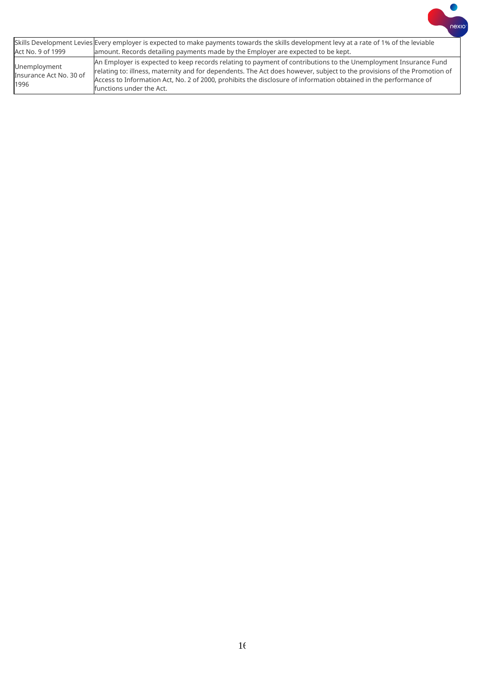|                                                 | Skills Development Levies Every employer is expected to make payments towards the skills development levy at a rate of 1% of the leviable                                                                                                                                                                                                                                                  |
|-------------------------------------------------|--------------------------------------------------------------------------------------------------------------------------------------------------------------------------------------------------------------------------------------------------------------------------------------------------------------------------------------------------------------------------------------------|
| Act No. 9 of 1999                               | amount. Records detailing payments made by the Employer are expected to be kept.                                                                                                                                                                                                                                                                                                           |
| Unemployment<br>Insurance Act No. 30 of<br>1996 | An Employer is expected to keep records relating to payment of contributions to the Unemployment Insurance Fund<br>relating to: illness, maternity and for dependents. The Act does however, subject to the provisions of the Promotion of<br>Access to Information Act, No. 2 of 2000, prohibits the disclosure of information obtained in the performance of<br>functions under the Act. |

D

nexio<sup>-</sup>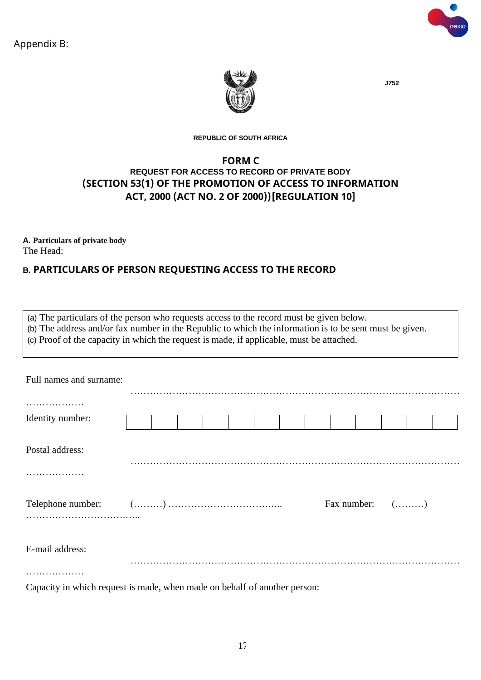

**J752**



**REPUBLIC OF SOUTH AFRICA**

#### **FORM C REQUEST FOR ACCESS TO RECORD OF PRIVATE BODY (SECTION 53(1) OF THE PROMOTION OF ACCESS TO INFORMATION ACT, 2000 (ACT NO. 2 OF 2000))[REGULATION 10]**

**A. Particulars of private body** The Head:

#### **B. PARTICULARS OF PERSON REQUESTING ACCESS TO THE RECORD**

(a) The particulars of the person who requests access to the record must be given below.

(b) The address and/or fax number in the Republic to which the information is to be sent must be given.

(c) Proof of the capacity in which the request is made, if applicable, must be attached.

| Full names and surname: |  |  |  |  |                                   |  |  |
|-------------------------|--|--|--|--|-----------------------------------|--|--|
|                         |  |  |  |  |                                   |  |  |
|                         |  |  |  |  |                                   |  |  |
| Identity number:        |  |  |  |  |                                   |  |  |
| Postal address:         |  |  |  |  |                                   |  |  |
|                         |  |  |  |  |                                   |  |  |
|                         |  |  |  |  | Fax number: $(\dots \dots \dots)$ |  |  |
| E-mail address:         |  |  |  |  |                                   |  |  |

Capacity in which request is made, when made on behalf of another person: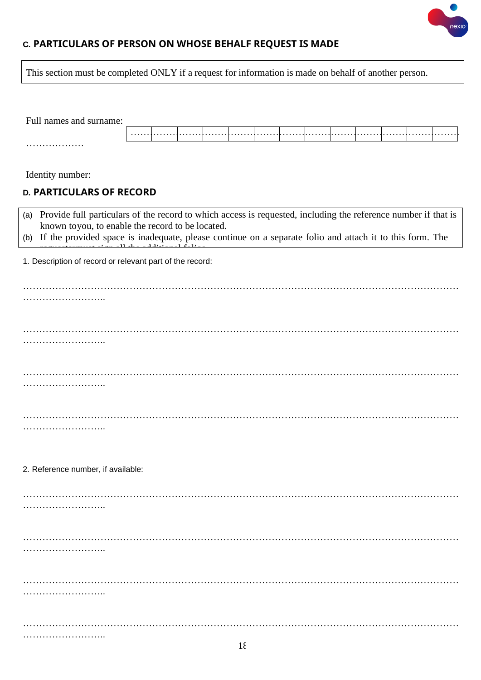

## **C. PARTICULARS OF PERSON ON WHOSE BEHALF REQUEST IS MADE**

This section must be completed ONLY if a request for information is made on behalf of another person.

| Full names and surname:                                                                                            |  |  |  |  |  |  |  |  |  |  |
|--------------------------------------------------------------------------------------------------------------------|--|--|--|--|--|--|--|--|--|--|
|                                                                                                                    |  |  |  |  |  |  |  |  |  |  |
| .                                                                                                                  |  |  |  |  |  |  |  |  |  |  |
|                                                                                                                    |  |  |  |  |  |  |  |  |  |  |
| Identity number:                                                                                                   |  |  |  |  |  |  |  |  |  |  |
| <b>D. PARTICULARS OF RECORD</b>                                                                                    |  |  |  |  |  |  |  |  |  |  |
| (a) Provide full particulars of the record to which access is requested, including the reference number if that is |  |  |  |  |  |  |  |  |  |  |
| known toyou, to enable the record to be located.                                                                   |  |  |  |  |  |  |  |  |  |  |
| (b) If the provided space is inadequate, please continue on a separate folio and attach it to this form. The       |  |  |  |  |  |  |  |  |  |  |
| 1. Description of record or relevant part of the record:                                                           |  |  |  |  |  |  |  |  |  |  |
|                                                                                                                    |  |  |  |  |  |  |  |  |  |  |
| .                                                                                                                  |  |  |  |  |  |  |  |  |  |  |
|                                                                                                                    |  |  |  |  |  |  |  |  |  |  |
|                                                                                                                    |  |  |  |  |  |  |  |  |  |  |
|                                                                                                                    |  |  |  |  |  |  |  |  |  |  |
|                                                                                                                    |  |  |  |  |  |  |  |  |  |  |
|                                                                                                                    |  |  |  |  |  |  |  |  |  |  |
|                                                                                                                    |  |  |  |  |  |  |  |  |  |  |
|                                                                                                                    |  |  |  |  |  |  |  |  |  |  |
|                                                                                                                    |  |  |  |  |  |  |  |  |  |  |
|                                                                                                                    |  |  |  |  |  |  |  |  |  |  |
|                                                                                                                    |  |  |  |  |  |  |  |  |  |  |
|                                                                                                                    |  |  |  |  |  |  |  |  |  |  |
|                                                                                                                    |  |  |  |  |  |  |  |  |  |  |
| 2. Reference number, if available:                                                                                 |  |  |  |  |  |  |  |  |  |  |
|                                                                                                                    |  |  |  |  |  |  |  |  |  |  |
|                                                                                                                    |  |  |  |  |  |  |  |  |  |  |
|                                                                                                                    |  |  |  |  |  |  |  |  |  |  |
|                                                                                                                    |  |  |  |  |  |  |  |  |  |  |
|                                                                                                                    |  |  |  |  |  |  |  |  |  |  |
|                                                                                                                    |  |  |  |  |  |  |  |  |  |  |
|                                                                                                                    |  |  |  |  |  |  |  |  |  |  |
|                                                                                                                    |  |  |  |  |  |  |  |  |  |  |
|                                                                                                                    |  |  |  |  |  |  |  |  |  |  |
|                                                                                                                    |  |  |  |  |  |  |  |  |  |  |
|                                                                                                                    |  |  |  |  |  |  |  |  |  |  |
|                                                                                                                    |  |  |  |  |  |  |  |  |  |  |
|                                                                                                                    |  |  |  |  |  |  |  |  |  |  |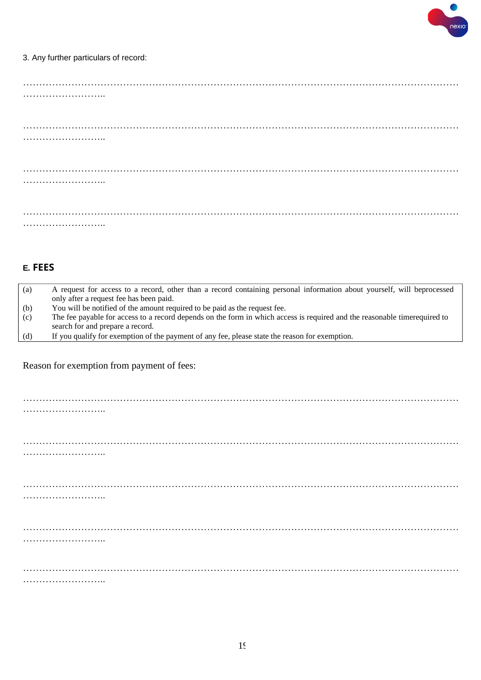

#### 3. Any further particulars of record:

## **E. FEES**

| (a) | A request for access to a record, other than a record containing personal information about yourself, will be processed   |
|-----|---------------------------------------------------------------------------------------------------------------------------|
|     | only after a request fee has been paid.                                                                                   |
| (b) | You will be notified of the amount required to be paid as the request fee.                                                |
| (c) | The fee payable for access to a record depends on the form in which access is required and the reasonable timerequired to |
|     | search for and prepare a record.                                                                                          |
| (d) | If you qualify for exemption of the payment of any fee, please state the reason for exemption.                            |

Reason for exemption from payment of fees: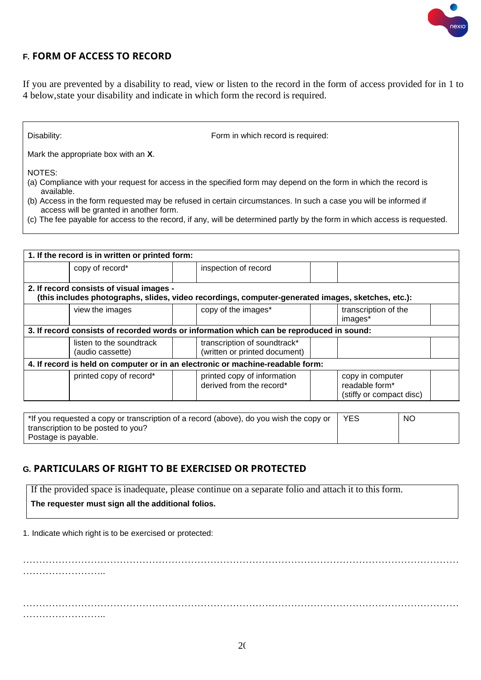

#### **F. FORM OF ACCESS TO RECORD**

If you are prevented by a disability to read, view or listen to the record in the form of access provided for in 1 to 4 below,state your disability and indicate in which form the record is required.

| Disability:                                                     | Form in which record is required:                                                                                                                                                                                                                                                                                                                                |  |
|-----------------------------------------------------------------|------------------------------------------------------------------------------------------------------------------------------------------------------------------------------------------------------------------------------------------------------------------------------------------------------------------------------------------------------------------|--|
| Mark the appropriate box with an X.                             |                                                                                                                                                                                                                                                                                                                                                                  |  |
| NOTES:<br>available.<br>access will be granted in another form. | (a) Compliance with your request for access in the specified form may depend on the form in which the record is<br>(b) Access in the form requested may be refused in certain circumstances. In such a case you will be informed if<br>(c) The fee payable for access to the record, if any, will be determined partly by the form in which access is requested. |  |
|                                                                 |                                                                                                                                                                                                                                                                                                                                                                  |  |
| 1. If the record is in written or printed form:                 |                                                                                                                                                                                                                                                                                                                                                                  |  |
| copy of record*                                                 | inspection of record                                                                                                                                                                                                                                                                                                                                             |  |
| 2 If record consists of visual images                           |                                                                                                                                                                                                                                                                                                                                                                  |  |

| 2. If record consists of visual images -     | (this includes photographs, slides, video recordings, computer-generated images, sketches, etc.): |                                                                |
|----------------------------------------------|---------------------------------------------------------------------------------------------------|----------------------------------------------------------------|
| view the images                              | copy of the images*                                                                               | transcription of the<br>images*                                |
|                                              | 3. If record consists of recorded words or information which can be reproduced in sound:          |                                                                |
| listen to the soundtrack<br>(audio cassette) | transcription of soundtrack*<br>(written or printed document)                                     |                                                                |
|                                              | 4. If record is held on computer or in an electronic or machine-readable form:                    |                                                                |
| printed copy of record*                      | printed copy of information<br>derived from the record*                                           | copy in computer<br>readable form*<br>(stiffy or compact disc) |
|                                              |                                                                                                   |                                                                |

| *If you requested a copy or transcription of a record (above), do you wish the copy or | <b>YES</b> | NO |
|----------------------------------------------------------------------------------------|------------|----|
| transcription to be posted to you?                                                     |            |    |
| Postage is payable.                                                                    |            |    |

## **G. PARTICULARS OF RIGHT TO BE EXERCISED OR PROTECTED**

If the provided space is inadequate, please continue on a separate folio and attach it to this form. **The requester must sign all the additional folios.**

1. Indicate which right is to be exercised or protected:

…………………….. ……………………………………………………………………………………………………………………… ……………………..

………………………………………………………………………………………………………………………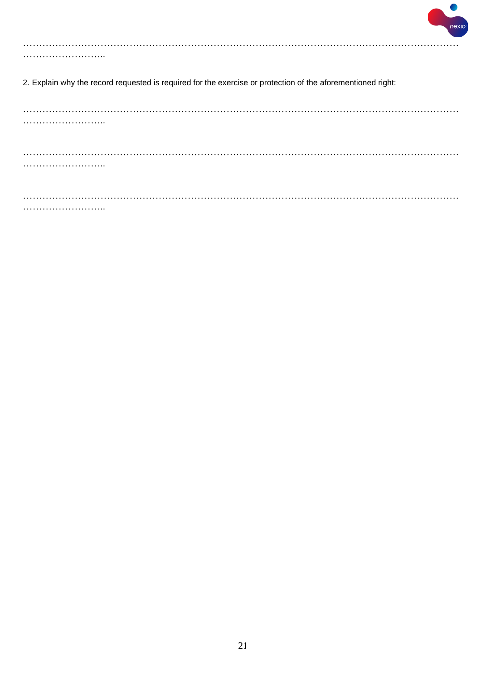.........................

2. Explain why the record requested is required for the exercise or protection of the aforementioned right: